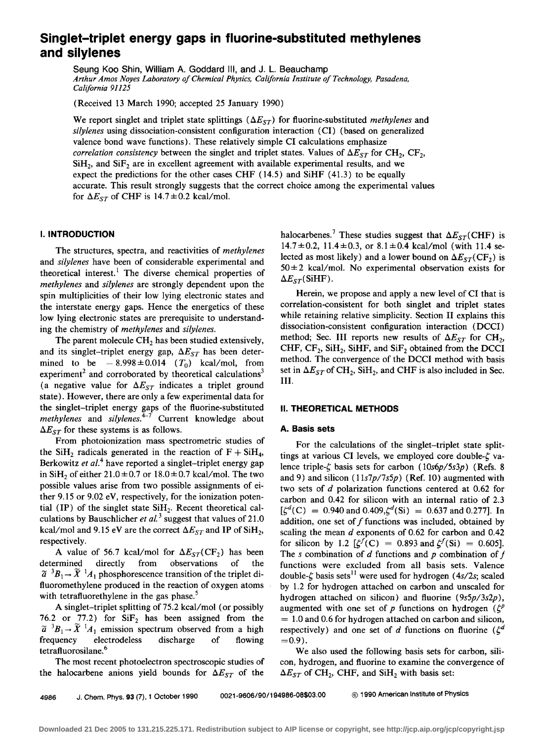# **Singlet-triplet energy gaps in fluorine-substituted methylenes and silylenes**

Seung Koo Shin, William A. Goddard Ill, and J. L. Beauchamp *Arthur Amos Noyes Laboratory of Chemical Physics, California Institute of Technology, Pasadena, California 91125* 

(Received 13 March 1990; accepted 25 January 1990)

We report singlet and triplet state splittings  $(\Delta E_{ST})$  for fluorine-substituted *methylenes* and *silylenes* using dissociation-consistent configuration interaction (CI) (based on generalized valence bond wave functions). These relatively simple CI calculations emphasize *correlation consistency* between the singlet and triplet states. Values of  $\Delta E_{ST}$  for CH<sub>2</sub>, CF<sub>2</sub>,  $SiH<sub>2</sub>$ , and  $SiF<sub>2</sub>$  are in excellent agreement with available experimental results, and we expect the predictions for the other cases CHF (14.5) and SiHF ( 41.3) to be equally accurate. This result strongly suggests that the correct choice among the experimental values for  $\Delta E_{ST}$  of CHF is 14.7  $\pm$  0.2 kcal/mol.

# **I. INTRODUCTION**

The structures, spectra, and reactivities of *methylenes*  and *silylenes* have been of considerable experimental and theoretical interest.<sup>1</sup> The diverse chemical properties of *methylenes* and *silylenes* are strongly dependent upon the spin multiplicities of their low lying electronic states and the interstate energy gaps. Hence the energetics of these low lying electronic states are prerequisite to understanding the chemistry of *methylenes* and *silylenes.* 

The parent molecule  $CH<sub>2</sub>$  has been studied extensively, and its singlet-triplet energy gap,  $\Delta E_{ST}$  has been determined to be  $-8.998 \pm 0.014$  ( $T_0$ ) kcal/mol, from experiment<sup>2</sup> and corroborated by theoretical calculations<sup>3</sup> (a negative value for  $\Delta E_{ST}$  indicates a triplet ground state). However, there are only a few experimental data for the singlet-triplet energy gaps of the fluorine-substituted *methylenes* and *silylenes.*<sup> $4-7$ </sup> Current knowledge about  $\Delta E_{ST}$  for these systems is as follows.

From photoionization mass spectrometric studies of the SiH<sub>2</sub> radicals generated in the reaction of  $F + SiH_4$ , Berkowitz *et al.*<sup>4</sup> have reported a singlet-triplet energy gap in SiH<sub>2</sub> of either 21.0 $\pm$ 0.7 or 18.0 $\pm$ 0.7 kcal/mol. The two possible values arise from two possible assignments of either 9.15 or 9.02 eV, respectively, for the ionization potential (IP) of the singlet state  $SiH<sub>2</sub>$ . Recent theoretical calculations by Bauschlicher et al.<sup>3</sup> suggest that values of 21.0 kcal/mol and 9.15 eV are the correct  $\Delta E_{ST}$  and IP of SiH<sub>2</sub>, respectively.

A value of 56.7 kcal/mol for  $\Delta E_{ST}(\text{CF}_2)$  has been determined directly from observations of the  $\tilde{a}$ <sup>3</sup> $B_1 \rightarrow \tilde{X}$ <sup>1</sup> $A_1$  phosphorescence transition of the triplet difluoromethylene produced in the reaction of oxygen atoms with tetrafluorethylene in the gas phase.<sup>5</sup>

A singlet-triplet splitting of 75.2 kcal/mol (or possibly 76.2 or 77.2) for  $SiF<sub>2</sub>$  has been assigned from the  $\tilde{a}$ <sup>3</sup> $B_1 \rightarrow \tilde{X}$ <sup>1</sup> $A_1$  emission spectrum observed from a high frequency electrodeless discharge of flowing tetrafluorosilane.<sup>6</sup>

The most recent photoelectron spectroscopic studies of the halocarbene anions yield bounds for  $\Delta E_{ST}$  of the

halocarbenes.<sup>7</sup> These studies suggest that  $\Delta E_{ST}$ (CHF) is  $14.7 \pm 0.2$ ,  $11.4 \pm 0.3$ , or  $8.1 \pm 0.4$  kcal/mol (with 11.4 selected as most likely) and a lower bound on  $\Delta E_{ST}(\text{CF}_2)$  is  $50 \pm 2$  kcal/mol. No experimental observation exists for  $\Delta E_{ST}$ (SiHF).

Herein, we propose and apply a new level of CI that is correlation-consistent for both singlet and triplet states while retaining relative simplicity. Section II explains this dissociation-consistent configuration interaction (DCCI) method; Sec. III reports new results of  $\Delta E_{ST}$  for CH<sub>2</sub>, CHF,  $CF_2$ , SiH<sub>2</sub>, SiHF, and SiF<sub>2</sub> obtained from the DCCI method. The convergence of the DCCI method with basis set in  $\Delta E_{ST}$  of CH<sub>2</sub>, SiH<sub>2</sub>, and CHF is also included in Sec. III.

## II. **THEORETICAL METHODS**

## **A. Basis sets**

For the calculations of the singlet-triplet state splittings at various CI levels, we employed core double- $\zeta$  valence triple- $\zeta$  basis sets for carbon (10s6p/5s3p) (Refs. 8) and 9) and silicon  $(11s7p/7s5p)$  (Ref. 10) augmented with two sets of *d* polarization functions centered at 0.62 for carbon and 0.42 for silicon with an internal ratio of 2.3  $[\zeta^d(C) = 0.940$  and 0.409, $\zeta^d(Si) = 0.637$  and 0.277]. In addition, one set of  $f$  functions was included, obtained by scaling the mean *d* exponents of 0.62 for carbon and 0.42 for silicon by 1.2  $[\zeta^f(C)] = 0.893$  and  $\zeta^f(Si) = 0.605$ . The *s* combination of *d* functions and *p* combination of  $f$ functions were excluded from all basis sets. Valence double- $\zeta$  basis sets<sup>11</sup> were used for hydrogen (4s/2s; scaled by 1.2 for hydrogen attached on carbon and unsealed for hydrogen attached on silicon) and fluorine (9s5p/3s2p), augmented with one set of *p* functions on hydrogen  $(\zeta^p)$  $= 1.0$  and 0.6 for hydrogen attached on carbon and silicon, respectively) and one set of *d* functions on fluorine ( $\zeta^d$  $=0.9$ ).

We also used the following basis sets for carbon, silicon, hydrogen, and fluorine to examine the convergence of  $\Delta E_{ST}$  of CH<sub>2</sub>, CHF, and SiH<sub>2</sub> with basis set:

4986 J. Chem. Phys. 93 (7), 1 October 1990 0021-9606/90/194986-08\$03.00 © 1990 American Institute of Physics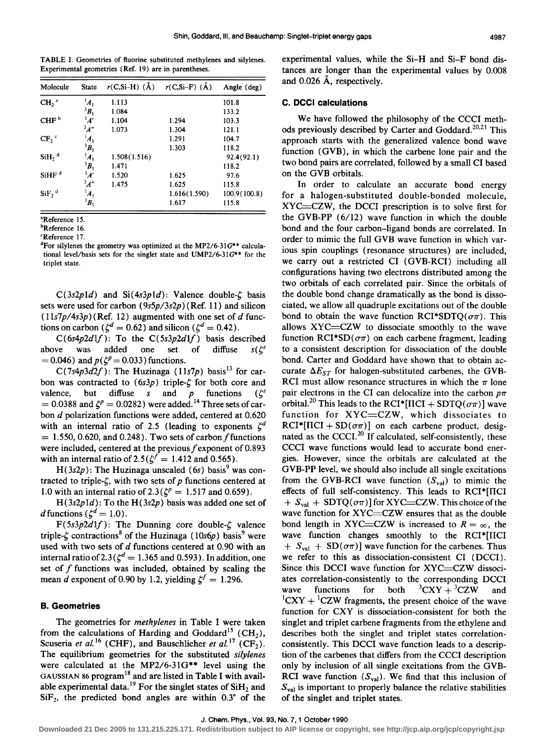TABLE I. Geometries of fluorine substituted methylenes and silylenes. Experimental geometries (Ref. 19) are in parentheses.

| Molecule            | <b>State</b>       | $r(C,Si-H)$ (Å) | $r(C,Si-F)$ (Å) | Angle (deg)   |
|---------------------|--------------------|-----------------|-----------------|---------------|
| $CH2$ <sup>a</sup>  | $A_1$              | 1.113           |                 | 101.8         |
|                     | ${}^3B_1$          | 1.084           |                 | 133.2         |
| CHF <sup>b</sup>    | $^1A'$             | 1.104           | 1.294           | 103.3         |
|                     | $\frac{3}{4}$ "    | 1.073           | 1.304           | 121.1         |
| $CF_2$ <sup>c</sup> | $A_1$              |                 | 1.291           | 104.7         |
|                     | $B_1$              |                 | 1.303           | 118.2         |
| $SiH2$ <sup>d</sup> | $A_1$              | 1.508(1.516)    |                 | 92.4(92.1)    |
|                     | ${}^3B_1$          | 1.471           |                 | 118.2         |
| SiHF <sup>d</sup>   | $^1A'$             | 1.520           | 1.625           | 97.6          |
|                     | $\frac{3}{4}$      | 1.475           | 1.625           | 115.8         |
| $SiF2$ <sup>d</sup> | $\boldsymbol{A}_1$ |                 | 1.616(1.590)    | 100.9 (100.8) |
|                     | $B_1$              |                 | 1.617           | 115.8         |

•Reference 15.

**bReference** 16.

<Reference 17.

<sup>d</sup>For silylenes the geometry was optimized at the MP2/6-31G\*\* calculational level/basis sets for the singlet state and UMP2/6-31 $G^{**}$  for the triplet state.

 $C(3s2p1d)$  and  $Si(4s3p1d)$ : Valence double- $\zeta$  basis sets were used for carbon ( *9s5p/3s2p)* (Ref. 11) and silicon  $(11s7p/4s3p)(Ref. 12)$  augmented with one set of d functions on carbon ( $\zeta^d = 0.62$ ) and silicon ( $\zeta^d = 0.42$ ).

C(6s4p2dlf): To the *C(5s3p2d1f)* basis described above was added one set of diffuse  $s(\zeta^s)$ = 0.046) and  $p(\zeta^p = 0.033)$  functions.

 $C(7s4p3d2f)$ : The Huzinaga (11s7p) basis<sup>13</sup> for carbon was contracted to  $(6s3p)$  triple- $\zeta$  for both core and valence, but diffuse *s* and *p* functions  $(\zeta^s)$ = 0.0388 and  $\zeta^p$  = 0.0282) were added.<sup>14</sup> Three sets of carbon d polarization functions were added, centered at 0.620 with an internal ratio of 2.5 (leading to exponents  $\zeta^d$  $= 1.550, 0.620,$  and 0.248). Two sets of carbon f functions were included, centered at the previous  $f$  exponent of 0.893 with an internal ratio of 2.5( $\zeta^f = 1.412$  and 0.565).

 $H(3s2p)$ : The Huzinaga unscaled (6s) basis<sup>9</sup> was contracted to triple- $\zeta$ , with two sets of  $p$  functions centered at 1.0 with an internal ratio of 2.3( $\zeta^p = 1.517$  and 0.659).

 $H(3s2p1d)$ : To the  $H(3s2p)$  basis was added one set of d functions ( $\zeta^d = 1.0$ ).

 $F(5s3p2d1f)$ : The Dunning core double- $\zeta$  valence triple- $\zeta$  contractions<sup>8</sup> of the Huzinaga (10s6p) basis<sup>9</sup> were used with two sets of d functions centered at 0.90 with an internal ratio of 2.3( $\zeta^d = 1.365$  and 0.593). In addition, one set of  $f$  functions was included, obtained by scaling the mean *d* exponent of 0.90 by 1.2, yielding  $\zeta^f = 1.296$ .

# **B. Geometries**

The geometries for *methy/enes* in Table I were taken from the calculations of Harding and Goddard<sup>15</sup> (CH<sub>2</sub>), Scuseria *et al.*<sup>16</sup> (CHF), and Bauschlicher *et al.*<sup>17</sup> (CF<sub>2</sub>). The equilibrium geometries for the substituted *silylenes*  were calculated at the MP2/6-31G\*\* level using the GAUSSIAN 86 program<sup>18</sup> and are listed in Table I with available experimental data.<sup>19</sup> For the singlet states of  $SiH<sub>2</sub>$  and  $SiF<sub>2</sub>$ , the predicted bond angles are within 0.3° of the experimental values, while the Si-H and Si-F bond distances are longer than the experimental values by 0.008 and 0.026 A, respectively.

#### **C. DCCI calculations**

We have followed the philosophy of the CCCI methods previously described by Carter and Goddard.<sup>20,21</sup> This approach starts with the generalized valence bond wave function (GVB), in which the carbene lone pair and the two bond pairs are correlated, followed by a small CI based on the GVB orbitals.

In order to calculate an accurate bond energy for a halogen-substituted double-bonded molecule,  $XYZ = CZW$ , the DCCI prescription is to solve first for the GVB-PP (6/12) wave function in which the double bond and the four carbon-ligand bonds are correlated. In order to mimic the full GVB wave function in which various spin couplings (resonance structures) are included, we carry out a restricted CI (GVB-RCI) including all configurations having two electrons distributed among the two orbitals of each correlated pair. Since the orbitals of the double bond change dramatically as the bond is dissociated, we allow all quadruple excitations out of the double bond to obtain the wave function RCI\*SDTQ( $\sigma\pi$ ). This allows XYC=CZW to dissociate smoothly to the wave function  $RCI*SD(\sigma\pi)$  on each carbene fragment, leading to a consistent description for dissociation of the double bond. Carter and Goddard have shown that to obtain accurate  $\Delta E_{ST}$  for halogen-substituted carbenes, the GVB-RCI must allow resonance structures in which the  $\pi$  lone pair electrons in the CI can delocalize into the carbon  $p\pi$ orbital.<sup>20</sup> This leads to the RCI\*[IICI + SDTQ( $\sigma\pi$ )] wave function for XYC=CZW, which dissociates to  $RCI^*[\Pi CI + SD(\sigma\pi)]$  on each carbene product, designated as the CCCI. $^{20}$  If calculated, self-consistently, these CCCI wave functions would lead to accurate bond energies. However, since the orbitals are calculated at the GVB-PP level, we should also include all single excitations from the GVB-RCI wave function  $(S_{val})$  to mimic the effects of full self-consistency. This leads to  $RCI^*[\Pi CI]$  $+ S_{val} + SDTQ(\sigma \pi)$  for XYC=CZW. This choice of the wave function for XYC=CZW ensures that as the double bond length in XYC=CZW is increased to  $R = \infty$ , the wave function changes smoothly to the RCI\*[IICI  $+ S_{val} + SD(\sigma \pi)$  wave function for the carbenes. Thus we refer to this as dissociation-consistent CI (DCCI). Since this DCCI wave function for XYC=CZW dissociates correlation-consistently to the corresponding DCCI wave functions for both  $CXY + {^{3}CZW}$  and  ${}^{1}CXY + {}^{1}CZW$  fragments, the present choice of the wave function for CXY is dissociation-consistent for both the singlet and triplet carbene fragments from the ethylene and describes both the singlet and triplet states correlationconsistently. This DCCI wave function leads to a description of the carbenes that differs from the CCCI description only by inclusion of all single excitations from the GVB-RCI wave function  $(S_{val})$ . We find that this inclusion of  $S_{val}$  is important to properly balance the relative stabilities of the singlet and triplet states.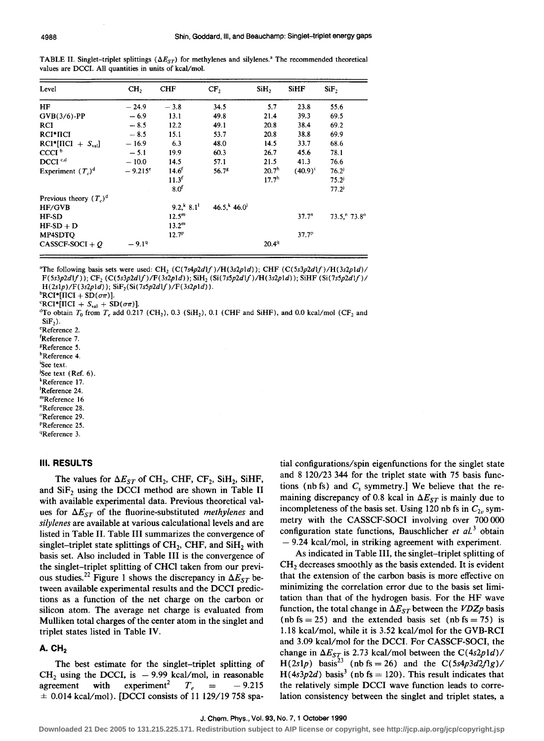| TABLE II. Singlet-triplet splittings ( $\Delta E_{ST}$ ) for methylenes and silylenes. <sup>3</sup> The recommended theoretical |  |  |
|---------------------------------------------------------------------------------------------------------------------------------|--|--|
| values are DCCI. All quantities in units of kcal/mol.                                                                           |  |  |

| Level                     | CH <sub>2</sub>  | <b>CHF</b>                        | CF,           | SiH <sub>2</sub>  | <b>SiHF</b>       | SiF,                  |
|---------------------------|------------------|-----------------------------------|---------------|-------------------|-------------------|-----------------------|
| HF                        | $-24.9$          | $-3.8$                            | 34.5          | 5.7               | 23.8              | 55.6                  |
| $GVB(3/6)$ -PP            | $-6.9$           | 13.1                              | 49.8          | 21.4              | 39.3              | 69.5                  |
| <b>RCI</b>                | $-8.5$           | 12.2                              | 49.1          | 20.8              | 38.4              | 69.2                  |
| RCI*IICI                  | $-8.5$           | 15.1                              | 53.7          | 20.8              | 38.8              | 69.9                  |
| $RCI^*[HCI + S_{val}]$    | $-16.9$          | 6.3                               | 48.0          | 14.5              | 33.7              | 68.6                  |
| CCCI <sup>b</sup>         | $-5.1$           | 19.9                              | 60.3          | 26.7              | 45.6              | 78.1                  |
| DCCI <sup>c,d</sup>       | $-10.0$          | 14.5                              | 57.1          | 21.5              | 41.3              | 76.6                  |
| Experiment $(T_n)^d$      | $-9.215^{\circ}$ | $14.6^{f}$                        | 56.78         | 20.7 <sup>h</sup> | $(40.9)^{1}$      | $76.2^{j}$            |
|                           |                  | 11.3 <sup>f</sup>                 |               | 17.7 <sup>h</sup> |                   | 75.2 <sup>3</sup>     |
|                           |                  | 8.0 <sup>f</sup>                  |               |                   |                   | $77.2^{j}$            |
| Previous theory $(T_a)^d$ |                  |                                   |               |                   |                   |                       |
| HF/GVB                    |                  | 9.2 <sup>k</sup> 8.1 <sup>k</sup> | $46.5$ , 46.0 |                   |                   |                       |
| HF-SD                     |                  | $12.5^m$                          |               |                   | 37.7 <sup>n</sup> | $73.5$ , $73.8^\circ$ |
| $HF-SD + D$               |                  | $13.2^m$                          |               |                   |                   |                       |
| MP4SDTQ                   |                  | 12.7 <sup>p</sup>                 |               |                   | 37.7 <sup>p</sup> |                       |
| CASSCF-SOCI + $Q$         | $-9.19$          |                                   |               | 20.49             |                   |                       |

<sup>a</sup>The following basis sets were used: CH<sub>2</sub> (C(7s4p2dlf)/H(3s2p1d)); CHF  $(C(5s3p2d)f)/H(3s2p1d)$  $\textbf{F(5s3p2df)}); \textbf{CF}_{2}\text{ (C(5s3p2df)/F(3s2p1d))}; \textbf{SiH}_{2}\text{ (Si(7s5p2df)/H(3s2p1d))}; \textbf{SiHF (Si(7s5p2df)/F(3s2p1d))}; \textbf{SiHF (Si(7s5p2df)/F(3s2p1d))}; \textbf{SiHF (Si(7s5p2df)/F(3s2p1d))}; \textbf{SiHF (Si(7s5p2df)/F(3s2p1d))}; \textbf{SiHF (Si(7s5p2df)/F(3s2p1d))}; \textbf{SiHF (Si(7s5p2df$  $H(2s1p)/F(3s2p1d)$ ;  $SiF_2(Si(7s5p2d1f)/F(3s2p1d))$ .

 ${}^{b}RCI^{*}[ICI + SD(\sigma\pi)].$ 

 ${}^{\text{c}}\text{RCI*}[\text{HCI} + S_{\text{val}} + \text{SD}(\sigma\pi)].$ 

 ${}^{\text{d}}$ To obtain T<sub>0</sub> from T<sub>c</sub> add 0.217 (CH<sub>2</sub>), 0.3 (SiH<sub>2</sub>), 0.1 (CHF and SiHF), and 0.0 kcal/mol (CF<sub>2</sub> and  $SiF<sub>2</sub>$ ).

•Reference 2.

- rReference 7.
- gReference *5.*  hReference 4.

See text.

<sup>j</sup>See text (Ref. 6). •Reference 17.

1 Reference 24.

mReference 16

"Reference 28.

"Reference 29.

PReference 25.

<sup>4</sup>Reference 3.

#### Ill. **RESULTS**

The values for  $\Delta E_{ST}$  of CH<sub>2</sub>, CHF, CF<sub>2</sub>, SiH<sub>2</sub>, SiHF, and  $SiF<sub>2</sub>$  using the DCCI method are shown in Table II with available experimental data. Previous theoretical values for  $\Delta E_{ST}$  of the fluorine-substituted *methylenes* and *silylenes* are available at various calculational levels and are listed in Table II. Table III summarizes the convergence of singlet-triplet state splittings of  $CH<sub>2</sub>$ , CHF, and SiH<sub>2</sub> with basis set. Also included in Table III is the convergence of the singlet-triplet splitting of CHCl taken from our previous studies.<sup>22</sup> Figure 1 shows the discrepancy in  $\Delta E_{ST}$  between available experimental results and the DCCI predictions as a function of the net charge on the carbon or silicon atom. The average net charge is evaluated from Mulliken total charges of the center atom in the singlet and triplet states listed in Table IV.

# **A. CH<sub>2</sub>**

The best estimate for the singlet-triplet splitting of CH<sub>2</sub> using the DCCI, is  $-9.99$  kcal/mol, in reasonable agreement with experiment<sup>2</sup>  $T_e$  =  $-9.215$  $experiment<sup>2</sup>$   $T_e$  =  $\pm$  0.014 kcal/mol). [DCCI consists of 11 129/19 758 spatial configurations/spin eigenfunctions for the singlet state and 8 120/23 344 for the triplet state with 75 basis functions (nb fs) and  $C_s$  symmetry.] We believe that the remaining discrepancy of 0.8 kcal in  $\Delta E_{ST}$  is mainly due to incompleteness of the basis set. Using 120 nb fs in  $C_{2v}$  symmetry with the CASSCF-SOCI involving over 700 000 configuration state functions, Bauschlicher *et al.*<sup>3</sup> obtain  $- 9.24$  kcal/mol, in striking agreement with experiment.

As indicated in Table III, the singlet-triplet splitting of CH<sub>2</sub> decreases smoothly as the basis extended. It is evident that the extension of the carbon basis is more effective on minimizing the correlation error due to the basis set limitation than that of the hydrogen basis. For the HF wave function, the total change in  $\Delta E_{ST}$  between the *VDZp* basis (nb fs = 25) and the extended basis set (nb fs = 75) is 1.18 kcal/mol, while it is 3.52 kcal/mol for the GVB-RCI and 3.09 kcal/mol for the DCCI. For CASSCF-SOCI, the change in  $\Delta E_{ST}$  is 2.73 kcal/mol between the C(4s2p1d)/ H(2slp) basis<sup>23</sup> (nb fs = 26) and the  $C(5s4p3d2flg)$  $H(4s3p2d)$  basis<sup>3</sup> (nb fs = 120). This result indicates that the relatively simple DCCI wave function leads to correlation consistency between the singlet and triplet states, a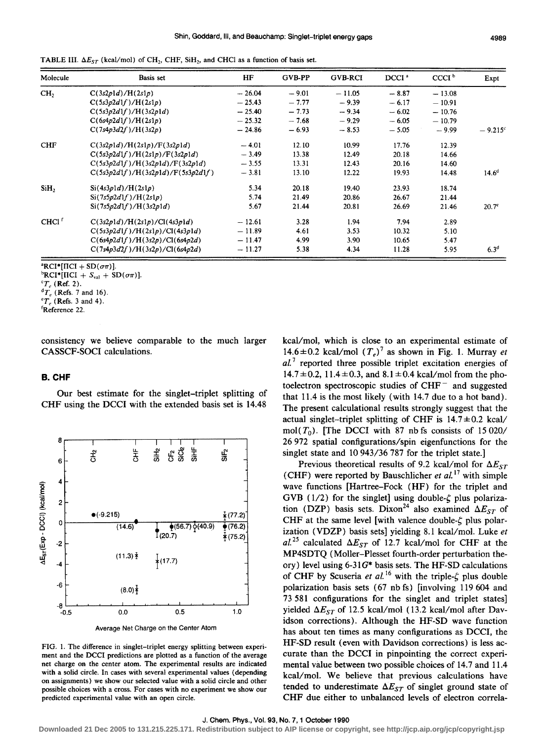| Molecule          | <b>Basis</b> set                  | HF       | <b>GVB-PP</b> | <b>GVB-RCI</b> | DCCI <sup>a</sup> | CCCI <sup>b</sup> | Expt              |
|-------------------|-----------------------------------|----------|---------------|----------------|-------------------|-------------------|-------------------|
| CH <sub>2</sub>   | C(3s2p1d)/H(2s1p)                 | $-26.04$ | $-9.01$       | $-11.05$       | $-8.87$           | $-13.08$          |                   |
|                   | C(5s3p2d1f)/H(2s1p)               | $-25.43$ | $-7.77$       | $-9.39$        | $-6.17$           | $-10.91$          |                   |
|                   | C(5s3p2d1f)/H(3s2p1d)             | $-25.40$ | $-7.73$       | $-9.34$        | $-6.02$           | $-10.76$          |                   |
|                   | C(6s4p2d1f)/H(2s1p)               | $-25.32$ | $-7.68$       | $-9.29$        | $-6.05$           | $-10.79$          |                   |
|                   | C(7s4p3d2f)/H(3s2p)               | $-24.86$ | $-6.93$       | $-8.53$        | $-5.05$           | $-9.99$           | $-9.215^{\circ}$  |
| <b>CHF</b>        | C(3s2p1d)/H(2s1p)/F(3s2p1d)       | $-4.01$  | 12.10         | 10.99          | 17.76             | 12.39             |                   |
|                   | C(5s3p2d1f)/H(2s1p)/F(3s2p1d)     | $-3.49$  | 13.38         | 12.49          | 20.18             | 14.66             |                   |
|                   | C(5s3p2d1f)/H(3s2p1d)/F(3s2p1d)   | $-3.55$  | 13.31         | 12.43          | 20.16             | 14.60             |                   |
|                   | C(5s3p2d1f)/H(3s2p1d)/F(5s3p2d1f) | $-3.81$  | 13.10         | 12.22          | 19.93             | 14.48             | $14.6^d$          |
| SiH,              | Si(4s3p1d)/H(2s1p)                | 5.34     | 20.18         | 19.40          | 23.93             | 18.74             |                   |
|                   | Si(7s5p2d1f)/H(2s1p)              | 5.74     | 21.49         | 20.86          | 26.67             | 21.44             |                   |
|                   | Si(7s5p2d1f)/H(3s2p1d)            | 5.67     | 21.44         | 20.81          | 26.69             | 21.46             | 20.7 <sup>e</sup> |
| CHCl <sup>f</sup> | C(3s2p1d)/H(2s1p)/Cl(4s3p1d)      | $-12.61$ | 3.28          | 1.94           | 7.94              | 2.89              |                   |
|                   | C(5s3p2d1f)/H(2s1p)/Cl(4s3p1d)    | $-11.89$ | 4.61          | 3.53           | 10.32             | 5.10              |                   |
|                   | C(6s4p2d1f)/H(3s2p)/Cl(6s4p2d)    | $-11.47$ | 4.99          | 3.90           | 10.65             | 5.47              |                   |
|                   | C(7s4p3d2f)/H(3s2p)/Cl(6s4p2d)    | $-11.27$ | 5.38          | 4.34           | 11.28             | 5.95              | $6.3^{d}$         |

TABLE III.  $\Delta E_{ST}$  (kcal/mol) of CH<sub>2</sub>, CHF, SiH<sub>2</sub>, and CHCl as a function of basis set.

 ${}^{\text{a}}\text{RCI}{}^*\text{[ICI} + \text{SD}(\sigma\pi)].$ 

 ${}^{\text{e}}T_e$  (Refs. 3 and 4).

consistency we believe comparable to the much larger CASSCF-SOCI calculations.

#### **B.CHF**

Our best estimate for the singlet-triplet splitting of CHF using the DCCI with the extended basis set is 14.48



FIG. I. The difference in singlet-triplet energy splitting between experiment and the DCCI predictions are plotted as a function of the average net charge on the center atom. The experimental results are indicated with a solid circle. In cases with several experimental values (depending on assignments) we show our selected value with a solid circle and other possible choices with a cross. For cases with no experiment *we* show our predicted experimental value with an open circle.

kcal/mol, which is close to an experimental estimate of 14.6 $\pm$ 0.2 kcal/mol  $(T_e)^7$  as shown in Fig. 1. Murray *et a/.* 7 reported three possible triplet excitation energies of  $14.7 \pm 0.2$ ,  $11.4 \pm 0.3$ , and  $8.1 \pm 0.4$  kcal/mol from the photoelectron spectroscopic studies of  $CHF^-$  and suggested that 11.4 is the most likely (with 14.7 due to a hot band). The present calculational results strongly suggest that the actual singlet-triplet splitting of CHF is  $14.7 \pm 0.2$  kcal/ mol( $T_0$ ). [The DCCI with 87 nb fs consists of 15 020/ 26 972 spatial configurations/spin eigenfunctions for the singlet state and 10 943/36 787 for the triplet state.]

Previous theoretical results of 9.2 kcal/mol for  $\Delta E_{ST}$ ( CHF) were reported by Bauschlicher *et a/.* 17 with simple wave functions [Hartree-Fock (HF) for the triplet and GVB ( $1/2$ ) for the singlet] using double- $\zeta$  plus polarization (DZP) basis sets. Dixon<sup>24</sup> also examined  $\Delta E_{ST}$  of CHF at the same level [with valence double- $\zeta$  plus polarization (VDZP) basis sets] yielding 8.1 kcal/mol. Luke *et*  al.<sup>25</sup> calculated  $\Delta E_{ST}$  of 12.7 kcal/mol for CHF at the MP4SDTQ (Moller-Plesset fourth-order perturbation theory) level using 6-31 *G\** basis sets. The HF-SD calculations of CHF by Scuseria et al.<sup>16</sup> with the triple- $\zeta$  plus double polarization basis sets ( 67 nb fs) [involving 119 604 and 73 581 configurations for the singlet and triplet states] yielded  $\Delta E_{ST}$  of 12.5 kcal/mol (13.2 kcal/mol after Davidson corrections). Although the HF -SD wave function has about ten times as many configurations as DCCI, the HF-SD result (even with Davidson corrections) is less accurate than the DCCI in pinpointing the correct experimental value between two possible choices of 14.7 and 11.4 kcal/mol. We believe that previous calculations have tended to underestimate  $\Delta E_{ST}$  of singlet ground state of CHF due either to unbalanced levels of electron correla-

 ${}^{b}$ RCI\*[IICI + S<sub>val</sub> + SD( $\sigma\pi$ )].

 ${}^cT_e$  (Ref. 2).

 ${}^dT_e$  (Refs. 7 and 16).

rReference 22.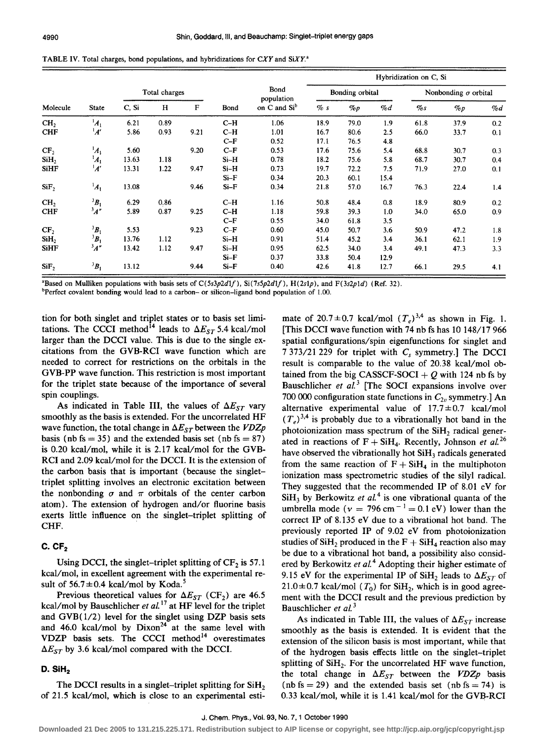| Molecule         |                    |               |      |      |        |                          | Hybridization on C, Si |       |       |                             |       |       |
|------------------|--------------------|---------------|------|------|--------|--------------------------|------------------------|-------|-------|-----------------------------|-------|-------|
|                  | <b>State</b>       | Total charges |      |      |        | Bond<br>population       | Bonding orbital        |       |       | Nonbonding $\sigma$ orbital |       |       |
|                  |                    | C, Si         | н    | F    | Bond   | on C and Si <sup>b</sup> | $\%s$                  | $\%p$ | $\%d$ | $\%$ s                      | $\%p$ | $\%d$ |
| CH <sub>2</sub>  | $A_1$              | 6.21          | 0.89 |      | $C-H$  | 1.06                     | 18.9                   | 79.0  | 1.9   | 61.8                        | 37.9  | 0.2   |
| <b>CHF</b>       | A'                 | 5.86          | 0.93 | 9.21 | $C-H$  | 1.01                     | 16.7                   | 80.6  | 2.5   | 66.0                        | 33.7  | 0.1   |
|                  |                    |               |      |      | $C-F$  | 0.52                     | 17.1                   | 76.5  | 4.8   |                             |       |       |
| CF <sub>2</sub>  | $\boldsymbol{A}_1$ | 5.60          |      | 9.20 | $C-F$  | 0.53                     | 17.6                   | 75.6  | 5.4   | 68.8                        | 30.7  | 0.3   |
| SiH,             | $A_1$              | 13.63         | 1.18 |      | $Si-H$ | 0.78                     | 18.2                   | 75.6  | 5.8   | 68.7                        | 30.7  | 0.4   |
| <b>SiHF</b>      | $^1A'$             | 13.31         | 1.22 | 9.47 | $Si-H$ | 0.73                     | 19.7                   | 72.2  | 7.5   | 71.9                        | 27.0  | 0.1   |
|                  |                    |               |      |      | $Si-F$ | 0.34                     | 20.3                   | 60.1  | 15.4  |                             |       |       |
| SiF <sub>2</sub> | $A_1$              | 13.08         |      | 9.46 | $Si-F$ | 0.34                     | 21.8                   | 57.0  | 16.7  | 76.3                        | 22.4  | 1.4   |
| CH <sub>2</sub>  | ${}^3B_1$          | 6.29          | 0.86 |      | $C-H$  | 1.16                     | 50.8                   | 48.4  | 0.8   | 18.9                        | 80.9  | 0.2   |
| <b>CHF</b>       | $\frac{3}{4}$ "    | 5.89          | 0.87 | 9.25 | $C-H$  | 1.18                     | 59.8                   | 39.3  | 1.0   | 34.0                        | 65.0  | 0.9   |
|                  |                    |               |      |      | $C-F$  | 0.55                     | 34.0                   | 61.8  | 3.5   |                             |       |       |
| CF <sub>2</sub>  | $\boldsymbol{B}_1$ | 5.53          |      | 9.23 | $C-F$  | 0.60                     | 45.0                   | 50.7  | 3.6   | 50.9                        | 47.2  | 1.8   |
| SiH <sub>2</sub> | ${}^3B_1$          | 13.76         | 1.12 |      | $Si-H$ | 0.91                     | 51.4                   | 45.2  | 3.4   | 36.1                        | 62.1  | 19    |
| <b>SiHF</b>      | 3A''               | 13.42         | 1.12 | 9.47 | $Si-H$ | 0.95                     | 62.5                   | 34.0  | 3.4   | 49.1                        | 47.3  | 3.3   |
|                  |                    |               |      |      | $Si-F$ | 0.37                     | 33.8                   | 50.4  | 12.9  |                             |       |       |
| SiF,             | $B_1$              | 13.12         |      | 9.44 | $Si-F$ | 0.40                     | 42.6                   | 41.8  | 12.7  | 66.1                        | 29.5  | 4.1   |

TABLE IV. Total charges, bond populations, and hybridizations for *CXY* and *SiXY.•* 

'Based on Mulliken populations with basis sets of *C(Ss3p2dlf), Si(7s5p2dlf),* H(2slp), and F(3s2pld) (Ref. 32).

<sup>b</sup>Perfect covalent bonding would lead to a carbon- or silicon-ligand bond population of 1.00.

tion for both singlet and triplet states or to basis set limitations. The CCCI method<sup>14</sup> leads to  $\Delta E_{ST}$  5.4 kcal/mol larger than the DCCI value. This is due to the single excitations from the GVB-RCI wave function which are needed to correct for restrictions on the orbitals in the GVB-PP wave function. This restriction is most important for the triplet state because of the importance of several spin couplings.

As indicated in Table III, the values of  $\Delta E_{ST}$  vary smoothly as the basis is extended. For the uncorrelated HF wave function, the total change in  $\Delta E_{ST}$  between the *VDZp* basis (nb fs = 35) and the extended basis set (nb fs = 87) is 0.20 kcal/mol, while it is 2.17 kcal/mol for the GVB-RCI and 2.09 kcal/mol for the DCCI. It is the extension of the carbon basis that is important (because the singlettriplet splitting involves an electronic excitation between the nonbonding  $\sigma$  and  $\pi$  orbitals of the center carbon atom). The extension of hydrogen and/or fluorine basis exerts little influence on the singlet-triplet splitting of CHF.

# **C. CF2**

Using DCCI, the singlet-triplet splitting of  $CF_2$  is 57.1 kcal/mol, in excellent agreement with the experimental result of  $56.7 \pm 0.4$  kcal/mol by Koda.<sup>5</sup>

Previous theoretical values for  $\Delta E_{ST}$  (CF<sub>2</sub>) are 46.5 kcal/mol by Bauschlicher *et a/.* 17 at HF level for the triplet and  $GVB(1/2)$  level for the singlet using DZP basis sets and 46.0 kcal/mol by  $Dixon^{24}$  at the same level with VDZP basis sets. The CCCI method $14$  overestimates  $\Delta E_{ST}$  by 3.6 kcal/mol compared with the DCCI.

## **D. SiH<sub>2</sub>**

The DCCI results in a singlet-triplet splitting for SiH<sub>2</sub> of 21.5 kcal/mol, which is close to an experimental esti-

mate of 20.7 $\pm$ 0.7 kcal/mol  $(T_e)^{3,4}$  as shown in Fig. 1. [This DCCI wave function with 74 nb fs has 10 148/17 966 spatial configurations/spin eigenfunctions for singlet and 7 373/21 229 for triplet with *Cs* symmetry.] The DCCI result is comparable to the value of 20.38 kcal/mol obtained from the big CASSCF-SOCI +  $Q$  with 124 nb fs by Bauschlicher et al.<sup>3</sup> [The SOCI expansions involve over 700 000 configuration state functions in  $C_{2v}$  symmetry.] An alternative experimental value of  $17.7 \pm 0.7$  kcal/mol  $(T_e)^{3,4}$  is probably due to a vibrationally hot band in the photoionization mass spectrum of the  $SiH<sub>2</sub>$  radical generated in reactions of  $F + SiH<sub>4</sub>$ . Recently, Johnson *et al.* <sup>26</sup> have observed the vibrationally hot SiH<sub>3</sub> radicals generated from the same reaction of  $F + SiH_4$  in the multiphoton ionization mass spectrometric studies of the silyl radical. They suggested that the recommended IP of 8.01 eV for  $SiH<sub>3</sub>$  by Berkowitz *et al.*<sup>4</sup> is one vibrational quanta of the umbrella mode ( $v = 796$  cm<sup>-1</sup> = 0.1 eV) lower than the correct IP of 8.135 eV due to a vibrational hot band. The previously reported IP of 9.02 eV from photoionization studies of SiH<sub>2</sub> produced in the  $F + SiH_4$  reaction also may be due to a vibrational hot band, a possibility also considered by Berkowitz et al.<sup>4</sup> Adopting their higher estimate of 9.15 eV for the experimental IP of SiH<sub>2</sub> leads to  $\Delta E_{ST}$  of  $21.0 \pm 0.7$  kcal/mol  $(T_0)$  for SiH<sub>2</sub>, which is in good agreement with the DCCI result and the previous prediction by Bauschlicher *et a/.* <sup>3</sup>

As indicated in Table III, the values of  $\Delta E_{ST}$  increase smoothly as the basis is extended. It is evident that the extension of the silicon basis is most important, while that of the hydrogen basis effects little on the singlet-triplet splitting of  $SiH<sub>2</sub>$ . For the uncorrelated HF wave function, the total change in  $\Delta E_{ST}$  between the *VDZp* basis (nb fs = 29) and the extended basis set (nb fs = 74) is  $0.33$  kcal/mol, while it is  $1.41$  kcal/mol for the GVB-RCI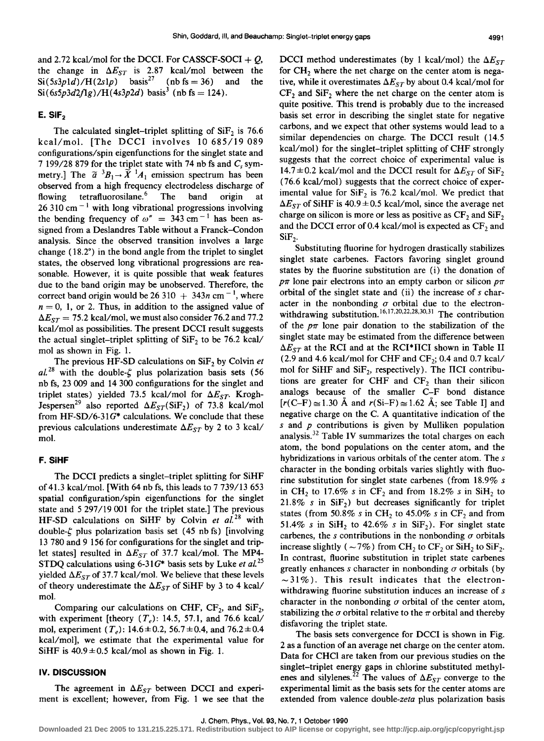and 2.72 kcal/mol for the DCCI. For CASSCF-SOCI  $+$  0, the change in  $\Delta E_{ST}$  is 2.87 kcal/mol between the  $Si(5s3p1d)/H(2s1p)$  basis<sup>27</sup> (nb fs = 36) and the  $Si(6s5p3d2f1g)/H(4s3p2d)$  basis<sup>3</sup> (nb fs = 124).

## **E.** SIF<sub>2</sub>

The calculated singlet-triplet splitting of  $SiF<sub>2</sub>$  is 76.6 kcal/mol. [The DCCI involves 10 685/19 089 configurations/spin eigenfunctions for the singlet state and 7 199/28 879 for the triplet state with 74 nb fs and  $C_s$  symmetry.] The  $\tilde{a}^{-3}B_1 \rightarrow \tilde{X}^{-1}A_1$  emission spectrum has been observed from a high frequency electrodeless discharge of flowing tetrafluorosilane.<sup>6</sup> The band origin at 26 310 cm<sup> $-1$ </sup> with long vibrational progressions involving the bending frequency of  $\omega'' = 343$  cm<sup>-1</sup> has been assigned from a Deslandres Table without a Franck-Condon analysis. Since the observed transition involves a large change ( 18.2•) in the bond angle from the triplet to singlet states, the observed long vibrational progressions are reasonable. However, it is quite possible that weak features due to the band origin may be unobserved. Therefore, the correct band origin would be 26 310  $+$  343n cm<sup>-1</sup>, where  $n = 0$ , 1, or 2. Thus, in addition to the assigned value of  $\Delta E_{ST}$  = 75.2 kcal/mol, we must also consider 76.2 and 77.2 kcal/mol as possibilities. The present DCCI result suggests the actual singlet-triplet splitting of  $SiF_2$  to be 76.2 kcal/ mol as shown in Fig. 1.

The previous HF-SD calculations on  $\text{SiF}_2$  by Colvin *et*  $aL^{28}$  with the double- $\zeta$  plus polarization basis sets (56 nb fs, 23 009 and 14 300 configurations for the singlet and triplet states) yielded 73.5 kcal/mol for  $\Delta E_{ST}$ . Krogh-Jespersen<sup>29</sup> also reported  $\Delta E_{ST}(SiF_2)$  of 73.8 kcal/mol from HF-SD/6-31 $G^*$  calculations. We conclude that these previous calculations underestimate  $\Delta E_{ST}$  by 2 to 3 kcal/ mol.

#### **F. SiHF**

The DCCI predicts a singlet-triplet splitting for SiHF of 41.3 kcal/mol. (With 64 nb fs, this leads to 7 739/13 653 spatial configuration/spin eigenfunctions for the singlet state and 5 297/19 001 for the triplet state.] The previous HF-SD calculations on SiHF by Colvin et al.<sup>28</sup> with double- $\zeta$  plus polarization basis set (45 nb fs) [involving 13 780 and 9 156 for configurations for the singlet and triplet states] resulted in  $\Delta E_{ST}$  of 37.7 kcal/mol. The MP4-STDQ calculations using 6-31G<sup>\*</sup> basis sets by Luke *et al.*<sup>25</sup> yielded  $\Delta E_{ST}$  of 37.7 kcal/mol. We believe that these levels of theory underestimate the  $\Delta E_{ST}$  of SiHF by 3 to 4 kcal/ mol.

Comparing our calculations on CHF,  $CF<sub>2</sub>$ , and  $SiF<sub>2</sub>$ , with experiment [theory  $(T_e)$ : 14.5, 57.1, and 76.6 kcal/ mol, experiment  $(T_e)$ : 14.6  $\pm$  0.2, 56.7  $\pm$  0.4, and 76.2  $\pm$  0.4 kcal/mol], we estimate that the experimental value for SiHF is  $40.9 \pm 0.5$  kcal/mol as shown in Fig. 1.

## IV. **DISCUSSION**

The agreement in  $\Delta E_{ST}$  between DCCI and experiment is excellent; however, from Fig. 1 we see that the DCCI method underestimates (by 1 kcal/mol) the  $\Delta E_{ST}$ for  $CH<sub>2</sub>$  where the net charge on the center atom is negative, while it overestimates  $\Delta E_{ST}$  by about 0.4 kcal/mol for  $CF<sub>2</sub>$  and SiF<sub>2</sub> where the net charge on the center atom is quite positive. This trend is probably due to the increased basis set error in describing the singlet state for negative carbons, and we expect that other systems would lead to a similar dependencies on charge. The DCCI result (14.5 kcal/mol) for the singlet-triplet splitting of CHF strongly suggests that the correct choice of experimental value is 14.7 $\pm$ 0.2 kcal/mol and the DCCI result for  $\Delta E_{ST}$  of SiF<sub>2</sub> (76.6 kcal/mol) suggests that the correct choice of experimental value for  $SiF_2$  is 76.2 kcal/mol. We predict that  $\Delta E_{ST}$  of SiHF is 40.9  $\pm$  0.5 kcal/mol, since the average net charge on silicon is more or less as positive as  $CF<sub>2</sub>$  and  $SiF<sub>2</sub>$ and the DCCI error of 0.4 kcal/mol is expected as  $CF<sub>2</sub>$  and  $SiF<sub>2</sub>$ 

Substituting fluorine for hydrogen drastically stabilizes singlet state carbenes. Factors favoring singlet ground states by the fluorine substitution are (i) the donation of  $p\pi$  lone pair electrons into an empty carbon or silicon  $p\pi$ orbital of the singlet state and (ii) the increase of *s* character in the nonbonding  $\sigma$  orbital due to the electronwithdrawing substitution.<sup>16,17,20,22,28,30,31</sup> The contribution of the  $p\pi$  lone pair donation to the stabilization of the singlet state may be estimated from the difference between  $\Delta E_{ST}$  at the RCI and at the RCI\*IICI shown in Table II (2.9 and 4.6 kcal/mol for CHF and  $CF_2$ ; 0.4 and 0.7 kcal/ mol for SiHF and  $SiF_2$ , respectively). The IICI contributions are greater for CHF and  $CF<sub>2</sub>$  than their silicon analogs because of the smaller C-F bond distance  $[r(C-F) \approx 1.30 \text{ Å}$  and  $r(Si-F) \approx 1.62 \text{ Å}$ ; see Table I] and negative charge on the C. A quantitative indication of the *s* and *p* contributions is given by Mulliken population analysis.32 Table IV summarizes the total charges on each atom, the bond populations on the center atom, and the hybridizations in various orbitals of the center atom. The *s*  character in the bonding orbitals varies slightly with fluorine substitution for singlet state carbenes (from 18.9% *s*  in CH<sub>2</sub> to 17.6% s in CF<sub>2</sub> and from 18.2% s in SiH<sub>2</sub> to 21.8% *s* in  $\text{SiF}_2$ ) but decreases significantly for triplet states (from 50.8% s in CH<sub>2</sub> to 45.0% s in CF<sub>2</sub> and from 51.4% *s* in SiH<sub>2</sub> to 42.6% *s* in SiF<sub>2</sub>). For singlet state carbenes, the *s* contributions in the nonbonding  $\sigma$  orbitals increase slightly ( $\sim$ 7%) from CH<sub>2</sub> to CF<sub>2</sub> or SiH<sub>2</sub> to SiF<sub>2</sub>. In contrast, fluorine substitution in triplet state carbenes greatly enhances *s* character in nonbonding  $\sigma$  orbitals (by  $\sim$ 31%). This result indicates that the electronwithdrawing fluorine substitution induces an increase of *s*  character in the nonbonding  $\sigma$  orbital of the center atom, stabilizing the  $\sigma$  orbital relative to the  $\pi$  orbital and thereby disfavoring the triplet state.

The basis sets convergence for DCCI is shown in Fig. 2 as a function of an average net charge on the center atom. Data for CHCl are taken from our previous studies on the singlet-triplet energy gaps in chlorine substituted methylenes and silylenes.<sup>22</sup> The values of  $\Delta E_{ST}$  converge to the experimental limit as the basis sets for the center atoms are extended from valence double-zeta plus polarization basis

**Downloaded 21 Dec 2005 to 131.215.225.171. Redistribution subject to AIP license or copyright, see http://jcp.aip.org/jcp/copyright.jsp**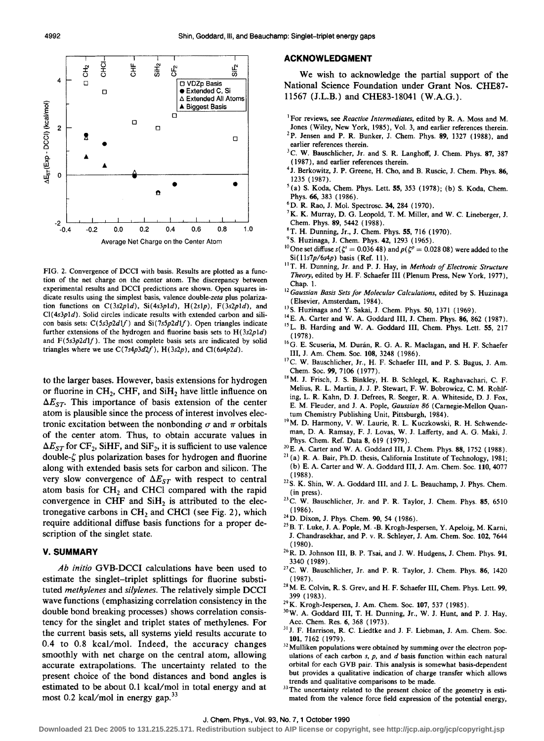

FIG. 2. Convergence of DCCI with basis. Results are plotted as a function of the net charge on the center atom. The discrepancy between experimental results and DCCI predictions are shown. Open squares indicate results using the simplest basis, valence double-zeta plus polarization functions on  $C(3s2p1d)$ ,  $Si(4s3p1d)$ ,  $H(2s1p)$ ,  $F(3s2p1d)$ , and Cl(4s3p1d). Solid circles indicate results with extended carbon and silicon basis sets:  $C(5s3p2d1f)$  and  $Si(7s5p2d1f)$ . Open triangles indicate further extensions of the hydrogen and fluorine basis sets to  $H(3s2p1d)$ and *F(5s3p2dlf).* The most complete basis sets are indicated by solid triangles where we use *C(7s4p3d2f),* H(3s2p), and Cl(6s4p2d).

to the larger bases. However, basis extensions for hydrogen or fluorine in  $CH<sub>2</sub>$ , CHF, and  $SiH<sub>2</sub>$  have little influence on  $\Delta E_{ST}$ . This importance of basis extension of the center atom is plausible since the process of interest involves electronic excitation between the nonbonding  $\sigma$  and  $\pi$  orbitals of the center atom. Thus, to obtain accurate values in  $\Delta E_{ST}$  for CF<sub>2</sub>, SiHF, and SiF<sub>2</sub>, it is sufficient to use valence  $double-\zeta$  plus polarization bases for hydrogen and fluorine along with extended basis sets for carbon and silicon. The very slow convergence of  $\Delta E_{ST}$  with respect to central atom basis for  $CH<sub>2</sub>$  and CHCl compared with the rapid convergence in CHF and  $SiH<sub>2</sub>$  is attributed to the electronegative carbons in  $CH<sub>2</sub>$  and CHCl (see Fig. 2), which require additional diffuse basis functions for a proper description of the singlet state.

#### **V. SUMMARY**

*Ab initio* GVB-DCCI calculations have been used to estimate the singlet-triplet splittings for fluorine substituted *methylenes* and *silylenes.* The relatively simple DCCI wave functions (emphasizing correlation consistency in the double bond breaking processes) shows correlation consistency for the singlet and triplet states of methylenes. For the current basis sets, all systems yield results accurate to 0.4 to 0.8 kcal/mol. Indeed, the accuracy changes smoothly with net charge on the central atom, allowing accurate extrapolations. The uncertainty related to the present choice of the bond distances and bond angles is estimated to be about 0.1 kcal/mol in total energy and at most 0.2 kcal/mol in energy gap. $33$ 

#### **ACKNOWLEDGMENT**

We wish to acknowledge the partial support of the National Science Foundation under Grant Nos. CH£87- 11567 (J.L.B.) and CH£83-18041 (W.A.G.).

- <sup>1</sup> For reviews, see *Reactive Intermediates*, edited by R. A. Moss and M. Jones (Wiley, New York, 1985), Vol. 3, and earlier references therein. <sup>2</sup>P. Jensen and P. R. Bunker, J. Chem. Phys. **89**, 1327 (1988), and earlier references therein.
- <sup>3</sup>C. W. Bauschlicher, Jr. and S. R. Langhoff, J. Chem. Phys. 87, 387
- (1987), and earlier references therein . 4 J. Berkowitz, J. P. Greene, H. Cho, and B. Ruscic, J. Chern. Phys. 86, 1235 ( 1987).<br><sup>5</sup> (a) S. Koda, Chem. Phys. Lett. **55**, 353 ( 1978); (b) S. Koda, Chem.
- 
- 
- Phys. 66, 383 (1986).<br>
<sup>6</sup>D. R. Rao, J. Mol. Spectrosc. 34, 284 (1970).<br>
<sup>7</sup>K. K. Murray, D. G. Leopold, T. M. Miller, and W. C. Lineberger, J. Chem. Phys. **89**, 5442 (1988).
- ${}^{8}$ T. H. Dunning, Jr., J. Chem. Phys. 55, 716 (1970).  ${}^{9}$ S. Huzinaga, J. Chem. Phys. 42, 1293 (1965).
- 
- <sup>10</sup>One set diffuse  $s(\zeta^s = 0.036\,48)$  and  $p(\zeta^p = 0.028\,08)$  were added to the Si(11*s*7*p*/6*s4p*) basis (Ref. 11).
- <sup>11</sup> T. H. Dunning, Jr. and P. J. Hay, in *Methods of Electronic Structure Theory,* edited by H. F. Schaefer III (Plenum Press, New York, 1977), Chap. 1.
- <sup>12</sup> Gaussian Basis Sets for Molecular Calculations, edited by S. Huzinaga (Elsevier, Amsterdam, 1984).
- 
- <sup>13</sup>S. Huzinaga and Y. Sakai, J. Chem. Phys. 50, 1371 (1969).<br><sup>14</sup>E. A. Carter and W. A. Goddard III, J. Chem. Phys. **86**, 862 (1987). <sup>15</sup>L. B. Harding and W. A. Goddard III, Chem. Phys. Lett. 55, 217
- ( 1978). 16G. E. Scuseria, M. Durán, R. G. A. R. Maclagan, and H. F. Schaefer III, J. Am. Chern. Soc. 108, 3248 (1986).
- <sup>17</sup>C. W. Bauschlicher, Jr., H. F. Schaefer III, and P. S. Bagus, J. Am.
- Chem. Soc. 99, 7106 (1977).<br><sup>18</sup> M. J. Frisch, J. S. Binkley, H. B. Schlegel, K. Raghavachari, C. F. Melius, R. L. Martin, J. J.P. Stewart, F. W. Bobrowicz, C. M. Rohlfing, L. R. Kahn, D. J. Defrees, R. Seeger, R. A. Whiteside, D. J. Fox, E. M. Fleuder, and J. A. Pople, *Gaussian 86* (Carnegie-Mellon Quan-
- tum Chemistry Publishing Unit, Pittsburgh, 1984).<br><sup>19</sup> M. D. Harmony, V. W. Laurie, R. L. Kuczkowski, R. H. Schwendeman, D. A. Ramsay, F. J. Lovas, W. J. Lafferty, and A. G. Maki, J.
- 
- Phys. Chem. Ref. Data 8, 619 (1979). <sup>20</sup>E. A. Carter and W. A. Goddard III, J. Chem. Phys. 88, 1752 (1988). <sup>21</sup> (a) R. A. Bair, Ph.D. thesis, California Institute of Technology, 1981; (b) E. A. Carter and W. A. Goddard III, J. Am. Chem. Soc. 110, 4077 (1988).
- $^{22}$ S. K. Shin, W. A. Goddard III, and J. L. Beauchamp, J. Phys. Chem. (in press).  $23C$ . W. Bauschlicher, Jr. and P. R. Taylor, J. Chem. Phys. 85, 6510
- 
- 
- (1986). <sup>24</sup> D. Dixon, J. Phys. Chem. 90, 54 (1986). <sup>24</sup> D. Dixon, J. Phys. Chem. 90, 54 (1986). <sup>25</sup> B. T. Luke, J. A. Pople, M. -B. Krogh-Jespersen, Y. Apeloig, M. Karni, J. Chandrasekhar, and P. v. R. Schleyer, J. Am. Chern. Soc. 102, 7644 (1980).
- $^{26}$  R. D. Johnson III, B. P. Tsai, and J. W. Hudgens, J. Chern. Phys. 91, 3340 (1989).
- <sup>27</sup>C. W. Bauschlicher, Jr. and P. R. Taylor, J. Chem. Phys. 86, 1420
- (1987).  $2^8$  M. E. Colvin, R. S. Grev, and H. F. Schaefer III, Chem. Phys. Lett. 99, 399 ( 1983).<br><sup>29</sup> K. Krogh-Jespersen, J. Am. Chem. Soc. 107, 537 ( 1985).<br><sup>30</sup> W. A. Goddard III, T. H. Dunning, Jr., W. J. Hunt, and P. J. Hay,
- 
- 
- Acc. Chem. Res. 6, 368 (1973).<br><sup>31</sup> J. F. Harrison, R. C. Liedtke and J. F. Liebman, J. Am. Chem. Soc.
- 101, 7162 (1979).  $32$  Mulliken populations were obtained by summing over the electron populations of each carbon *s,* p, and *d* basis function within each natural orbital for each GVB pair. This analysis is somewhat basis-dependent but provides a qualitative indication of charge transfer which allows trends and qualitative comparisons to be made.
- <sup>33</sup>The uncertainty related to the present choice of the geometry is estimated from the valence force field expression of the potential energy,